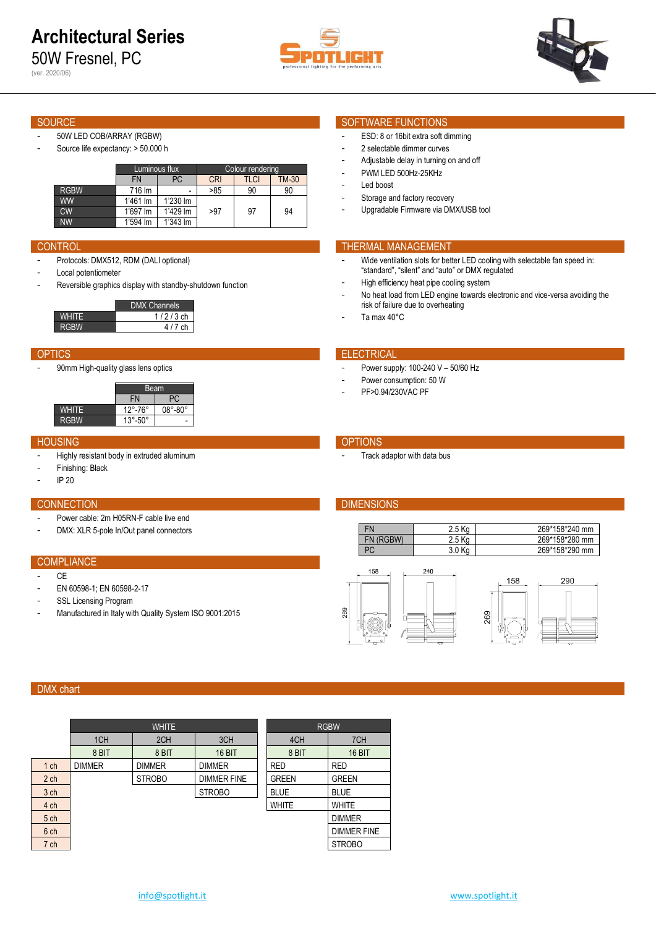50W Fresnel, PC (ver. 2020/06)





- 50W LED COB/ARRAY (RGBW)
- Source life expectancy: > 50.000 h

|             | Luminous flux |          | Colour rendering |      |       |  |  |
|-------------|---------------|----------|------------------|------|-------|--|--|
|             | FN            | РC       | <b>CRI</b>       | TLCI | TM-30 |  |  |
| <b>RGBW</b> | 716 lm        |          | >85              | 90   | 90    |  |  |
| <b>WW</b>   | $1'461$ Im    | 1'230 lm |                  |      |       |  |  |
| <b>CW</b>   | 1'697 lm      | 1'429 lm | >97              | 97   | 94    |  |  |
| <b>NW</b>   | 1'594 lm      | 1'343 lm |                  |      |       |  |  |

- Protocols: DMX512, RDM (DALI optional)
- Local potentiometer
- Reversible graphics display with standby-shutdown function

|          | <b>DMX Channels</b> |
|----------|---------------------|
| 7⊟ I I ⊢ | $1/2/3$ ch          |
| RGRW     | 4/7ch               |

90mm High-quality glass lens optics

|             | Beam                      |                           |  |  |  |  |
|-------------|---------------------------|---------------------------|--|--|--|--|
|             | <b>FN</b><br>PC.          |                           |  |  |  |  |
| WHITF       | $12^{\circ} - 76^{\circ}$ | $08^{\circ} - 80^{\circ}$ |  |  |  |  |
| <b>RGBW</b> | $13^\circ - 50^\circ$     |                           |  |  |  |  |

### **HOUSING CONTROL** CONTROL CONTROL CONTROL CONTROL CONTROL CONTROL CONTROL CONTROL CONTROL CONTROL CONTROL CONTROL CONTROL CONTROL CONTROL CONTROL CONTROL CONTROL CONTROL CONTROL CONTROL CONTROL CONTROL CONTROL CONTROL CONT

- Highly resistant body in extruded aluminum
- Finishing: Black
- IP 20

### **CONNECTION DIMENSIONS**

- Power cable: 2m H05RN-F cable live end
- DMX: XLR 5-pole In/Out panel connectors

# **COMPLIANCE**

- CE
- EN 60598-1; EN 60598-2-17
- SSL Licensing Program
- Manufactured in Italy with Quality System ISO 9001:2015

### SOURCE SOURCE SOURCE SOURCE SOURCE SOURCE SOURCE SOURCE SOURCE SOURCE SOURCE SOURCE SOURCE SOURCE SOURCE SOURCE

- ESD: 8 or 16bit extra soft dimming
- 2 selectable dimmer curves
- Adjustable delay in turning on and off
- PWM LED 500Hz-25KHz
- Led boost
- Storage and factory recovery
- Upgradable Firmware via DMX/USB tool

# **CONTROL CONTROL THERMAL MANAGEMENT**

- Wide ventilation slots for better LED cooling with selectable fan speed in: "standard", "silent" and "auto" or DMX regulated
- High efficiency heat pipe cooling system
- No heat load from LED engine towards electronic and vice-versa avoiding the risk of failure due to overheating
- Ta max 40°C

### OPTICS **ELECTRICAL**

- Power supply: 100-240 V 50/60 Hz
- Power consumption: 50 W
- PF>0.94/230VAC PF

Track adaptor with data bus

DIMMER FINE

| FN        | 2.5 Ka | 269*158*240 mm |
|-----------|--------|----------------|
| FN (RGRW) | 2.5 Ka | 269*158*280 mm |
| DГ        | 3.0 Ka | 269*158*290 mm |



## DMX chart

|                 |                 | <b>WHITE</b>  |                    | <b>RGBW</b> |              |                 |  |
|-----------------|-----------------|---------------|--------------------|-------------|--------------|-----------------|--|
|                 | 1 <sub>CH</sub> | 2CH           | 3CH                |             | 4CH          | 7CH             |  |
|                 | 8 BIT           | 8 BIT         | <b>16 BIT</b>      |             | 8 BIT        | 16 BIT          |  |
| 1 <sub>ch</sub> | <b>DIMMER</b>   | <b>DIMMER</b> | <b>DIMMER</b>      |             | <b>RED</b>   | <b>RED</b>      |  |
| 2 <sub>ch</sub> |                 | <b>STROBO</b> | <b>DIMMER FINE</b> |             | <b>GREEN</b> | <b>GREEN</b>    |  |
| 3 ch            |                 |               | <b>STROBO</b>      |             | <b>BLUE</b>  | <b>BLUE</b>     |  |
| 4 ch            |                 |               |                    |             | <b>WHITE</b> | WHITE           |  |
| 5 ch            |                 |               |                    |             |              | <b>DIMMER</b>   |  |
| 6 ch            |                 |               |                    |             |              | <b>DIMMERFI</b> |  |
| 7 ch            |                 |               |                    |             |              | <b>STROBO</b>   |  |
|                 |                 |               |                    |             |              |                 |  |